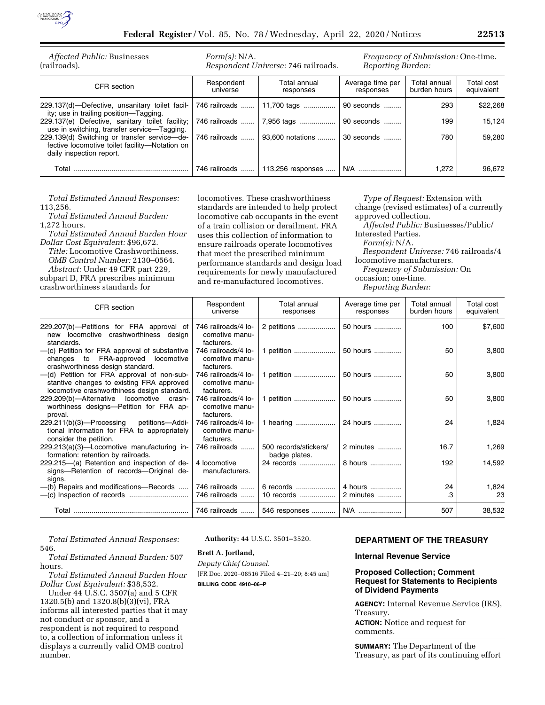

| Affected Public: Businesses<br>(railroads).                                                                                | Form(s): N/A.          | Respondent Universe: 746 railroads. | Frequency of Submission: One-time.<br>Reporting Burden: |                              |                          |
|----------------------------------------------------------------------------------------------------------------------------|------------------------|-------------------------------------|---------------------------------------------------------|------------------------------|--------------------------|
| CFR section                                                                                                                | Respondent<br>universe | Total annual<br>responses           | Average time per<br>responses                           | Total annual<br>burden hours | Total cost<br>equivalent |
| 229.137(d)-Defective, unsanitary toilet facil-<br>ity; use in trailing position-Tagging.                                   | 746 railroads          | 11,700 tags                         | 90 seconds                                              | 293                          | \$22,268                 |
| 229.137(e) Defective, sanitary toilet facility;<br>use in switching, transfer service—Tagging.                             | 746 railroads          | 7,956 tags                          | 90 seconds                                              | 199                          | 15.124                   |
| 229.139(d) Switching or transfer service-de-<br>fective locomotive toilet facility-Notation on<br>daily inspection report. | 746 railroads          | 93,600 notations                    | 30 seconds                                              | 780                          | 59.280                   |
|                                                                                                                            | 746 railroads          | 113,256 responses                   | $N/A$                                                   | 1.272                        | 96,672                   |

*Total Estimated Annual Responses:*  113,256.

*Total Estimated Annual Burden:*  1,272 hours.

*Total Estimated Annual Burden Hour Dollar Cost Equivalent:* \$96,672.

*Title:* Locomotive Crashworthiness. *OMB Control Number:* 2130–0564. *Abstract:* Under 49 CFR part 229,

subpart D, FRA prescribes minimum crashworthiness standards for

locomotives. These crashworthiness standards are intended to help protect locomotive cab occupants in the event of a train collision or derailment. FRA uses this collection of information to ensure railroads operate locomotives that meet the prescribed minimum performance standards and design load requirements for newly manufactured and re-manufactured locomotives.

*Type of Request:* Extension with change (revised estimates) of a currently approved collection.

*Affected Public:* Businesses/Public/ Interested Parties. *Form(s):* N/A. *Respondent Universe:* 746 railroads/4 locomotive manufacturers. *Frequency of Submission:* On occasion; one-time.

*Reporting Burden:* 

| CFR section                                                                                                                            | Respondent<br>universe                              | Total annual<br>responses              | Average time per<br>responses | Total annual<br>burden hours | Total cost<br>equivalent |
|----------------------------------------------------------------------------------------------------------------------------------------|-----------------------------------------------------|----------------------------------------|-------------------------------|------------------------------|--------------------------|
| 229.207(b)-Petitions for FRA approval of<br>new locomotive crashworthiness design<br>standards.                                        | 746 railroads/4 lo-<br>comotive manu-<br>facturers. | 2 petitions                            | 50 hours                      | 100                          | \$7,600                  |
| -(c) Petition for FRA approval of substantive<br>changes to FRA-approved<br>locomotive<br>crashworthiness design standard.             | 746 railroads/4 lo-<br>comotive manu-<br>facturers. | petition                               | 50 hours                      | 50                           | 3,800                    |
| -(d) Petition for FRA approval of non-sub-<br>stantive changes to existing FRA approved<br>locomotive crashworthiness design standard. | 746 railroads/4 lo-<br>comotive manu-<br>facturers. | 1 petition                             | 50 hours                      | 50                           | 3,800                    |
| 229.209(b)-Alternative locomotive crash-<br>worthiness designs--Petition for FRA ap-<br>proval.                                        | 746 railroads/4 lo-<br>comotive manu-<br>facturers. | 1 petition                             | 50 hours                      | 50                           | 3,800                    |
| $229.211(b)(3)$ -Processing<br>petitions—Addi-<br>tional information for FRA to appropriately<br>consider the petition.                | 746 railroads/4 lo-<br>comotive manu-<br>facturers. | 1 hearing                              | 24 hours                      | 24                           | 1,824                    |
| 229.213(a)(3)-Locomotive manufacturing in-<br>formation: retention by railroads.                                                       | 746 railroads                                       | 500 records/stickers/<br>badge plates. | 2 minutes                     | 16.7                         | 1,269                    |
| 229.215–(a) Retention and inspection of de-<br>signs-Retention of records-Original de-<br>signs.                                       | 4 locomotive<br>manufacturers.                      | 24 records                             | 8 hours                       | 192                          | 14,592                   |
| -(b) Repairs and modifications-Records                                                                                                 | 746 railroads<br>746 railroads                      | 6 records<br>10 records                | 4 hours<br>2 minutes          | 24<br>.3                     | 1,824<br>23              |
|                                                                                                                                        | 746 railroads                                       | 546 responses                          | N/A                           | 507                          | 38,532                   |

*Total Estimated Annual Responses:*  546.

*Total Estimated Annual Burden:* 507 hours.

*Total Estimated Annual Burden Hour Dollar Cost Equivalent:* \$38,532.

Under 44 U.S.C. 3507(a) and 5 CFR 1320.5(b) and 1320.8(b)(3)(vi), FRA informs all interested parties that it may not conduct or sponsor, and a respondent is not required to respond to, a collection of information unless it displays a currently valid OMB control number.

**Authority:** 44 U.S.C. 3501–3520.

### **Brett A. Jortland,**

*Deputy Chief Counsel.*  [FR Doc. 2020–08516 Filed 4–21–20; 8:45 am] **BILLING CODE 4910–06–P** 

# **DEPARTMENT OF THE TREASURY**

## **Internal Revenue Service**

## **Proposed Collection; Comment Request for Statements to Recipients of Dividend Payments**

**AGENCY:** Internal Revenue Service (IRS), Treasury.

**ACTION:** Notice and request for comments.

**SUMMARY:** The Department of the Treasury, as part of its continuing effort